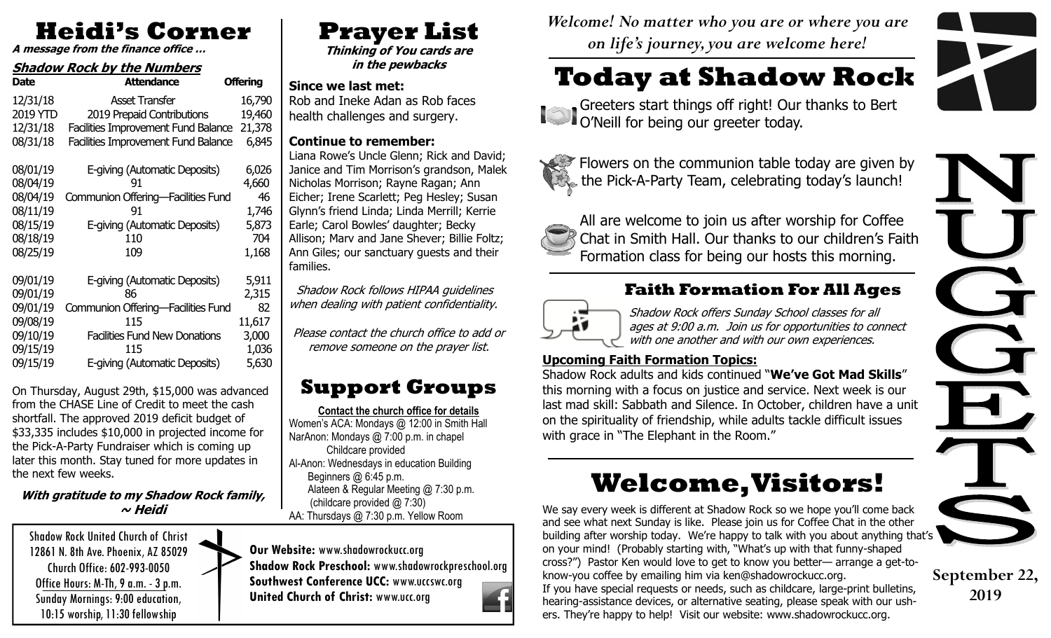# **Heidi's Corner**

**A message from the finance office …**

#### **Shadow Rock by the Numbers**

| <b>Attendance</b>                          | <b>Offering</b>                                                                                                                                                                          |
|--------------------------------------------|------------------------------------------------------------------------------------------------------------------------------------------------------------------------------------------|
| <b>Asset Transfer</b>                      | 16,790                                                                                                                                                                                   |
| 2019 Prepaid Contributions                 | 19,460                                                                                                                                                                                   |
| Facilities Improvement Fund Balance 21,378 |                                                                                                                                                                                          |
| <b>Facilities Improvement Fund Balance</b> | 6,845                                                                                                                                                                                    |
|                                            |                                                                                                                                                                                          |
|                                            | 6,026                                                                                                                                                                                    |
| 91                                         | 4,660                                                                                                                                                                                    |
|                                            | 46                                                                                                                                                                                       |
| 91                                         | 1,746                                                                                                                                                                                    |
| E-giving (Automatic Deposits)              | 5,873                                                                                                                                                                                    |
| 110                                        | 704                                                                                                                                                                                      |
| 109                                        | 1,168                                                                                                                                                                                    |
|                                            |                                                                                                                                                                                          |
|                                            | 5,911                                                                                                                                                                                    |
|                                            | 2,315                                                                                                                                                                                    |
|                                            | 82                                                                                                                                                                                       |
| 115                                        | 11,617                                                                                                                                                                                   |
|                                            | 3,000                                                                                                                                                                                    |
| 115                                        | 1,036                                                                                                                                                                                    |
| E-giving (Automatic Deposits)              | 5,630                                                                                                                                                                                    |
|                                            | E-giving (Automatic Deposits)<br>Communion Offering-Facilities Fund<br>E-giving (Automatic Deposits)<br>86<br>Communion Offering-Facilities Fund<br><b>Facilities Fund New Donations</b> |

On Thursday, August 29th, \$15,000 was advanced from the CHASE Line of Credit to meet the cash shortfall. The approved 2019 deficit budget of \$33,335 includes \$10,000 in projected income for the Pick-A-Party Fundraiser which is coming up later this month. Stay tuned for more updates in the next few weeks.

#### **With gratitude to my Shadow Rock family, ~ Heidi**

Shadow Rock United Church of Christ 12861 N. 8th Ave. Phoenix, AZ 85029 Church Office: 602-993-0050 Office Hours: M-Th, 9 a.m. - 3 p.m. Sunday Mornings: 9:00 education, 10:15 worship, 11:30 fellowship

# **Prayer List**

 **Thinking of You cards are in the pewbacks** 

**Since we last met:** 

 Rob and Ineke Adan as Rob faces health challenges and surgery.

#### **Continue to remember:**

 Liana Rowe's Uncle Glenn; Rick and David; Janice and Tim Morrison's grandson, Malek Nicholas Morrison; Rayne Ragan; Ann Eicher; Irene Scarlett; Peg Hesley; Susan Glynn's friend Linda; Linda Merrill; Kerrie Earle; Carol Bowles' daughter; Becky Allison; Marv and Jane Shever; Billie Foltz; Ann Giles; our sanctuary guests and their families.

 Shadow Rock follows HIPAA guidelines when dealing with patient confidentiality.

Please contact the church office to add or remove someone on the prayer list.

## **Support Groups**

**Contact the church office for details** Women's ACA: Mondays @ 12:00 in Smith Hall NarAnon: Mondays @ 7:00 p.m. in chapel Childcare provided Al-Anon: Wednesdays in education Building Beginners @ 6:45 p.m. Alateen & Regular Meeting @ 7:30 p.m. (childcare provided @ 7:30)

AA: Thursdays @ 7:30 p.m. Yellow Room

**Our Website:** www.shadowrockucc.org **Shadow Rock Preschool:** www.shadowrockpreschool.org **Southwest Conference UCC:** www.uccswc.org**United Church of Christ:** www.ucc.org

*Welcome! No matter who you are or where you are on life's journey, you are welcome here!* 

# **Today at Shadow Rock**

Greeters start things off right! Our thanks to Bert O'Neill for being our greeter today.



Flowers on the communion table today are given by the Pick-A-Party Team, celebrating today's launch!



All are welcome to join us after worship for Coffee Chat in Smith Hall. Our thanks to our children's Faith Formation class for being our hosts this morning.

### **Faith Formation For All Ages**



Shadow Rock offers Sunday School classes for all ages at 9:00 a.m. Join us for opportunities to connect with one another and with our own experiences.

#### **Upcoming Faith Formation Topics:**

 Shadow Rock adults and kids continued "**We've Got Mad Skills**" this morning with a focus on justice and service. Next week is our last mad skill: Sabbath and Silence. In October, children have a unit on the spirituality of friendship, while adults tackle difficult issues with grace in "The Elephant in the Room."

# **Welcome, Visitors!**

We say every week is different at Shadow Rock so we hope you'll come back and see what next Sunday is like. Please join us for Coffee Chat in the other building after worship today. We're happy to talk with you about anything that's on your mind! (Probably starting with, "What's up with that funny-shaped cross?") Pastor Ken would love to get to know you better— arrange a get-toknow-you coffee by emailing him via ken@shadowrockucc.org. If you have special requests or needs, such as childcare, large-print bulletins, hearing-assistance devices, or alternative seating, please speak with our ushers. They're happy to help! Visit our website: www.shadowrockucc.org.



**September 22, 2019**